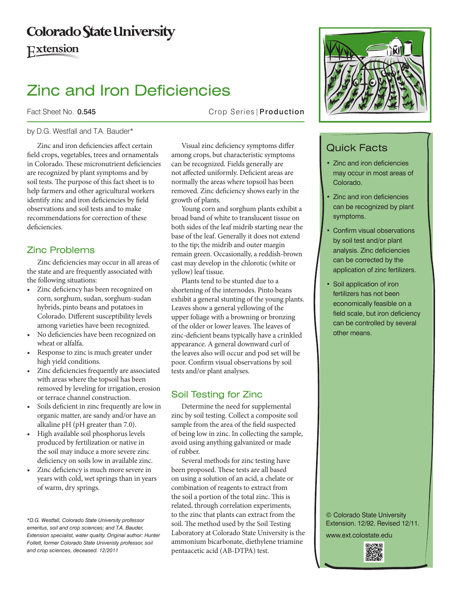# **Colorado State University**

Extension

# Zinc and Iron Deficiencies

## Fact Sheet No. 0.545 Crop Series | Production

### by D.G. Westfall and T.A. Bauder\*

Zinc and iron deficiencies affect certain field crops, vegetables, trees and ornamentals in Colorado. These micronutrient deficiencies are recognized by plant symptoms and by soil tests. The purpose of this fact sheet is to help farmers and other agricultural workers identify zinc and iron deficiencies by field observations and soil tests and to make recommendations for correction of these deficiencies.

# Zinc Problems

Zinc deficiencies may occur in all areas of the state and are frequently associated with the following situations:

- • Zinc deficiency has been recognized on corn, sorghum, sudan, sorghum-sudan hybrids, pinto beans and potatoes in Colorado. Different susceptibility levels among varieties have been recognized.
- No deficiencies have been recognized on wheat or alfalfa.
- • Response to zinc is much greater under high yield conditions.
- • Zinc deficiencies frequently are associated with areas where the topsoil has been removed by leveling for irrigation, erosion or terrace channel construction.
- • Soils deficient in zinc frequently are low in organic matter, are sandy and/or have an alkaline pH (pH greater than 7.0).
- • High available soil phosphorus levels produced by fertilization or native in the soil may induce a more severe zinc deficiency on soils low in available zinc.
- • Zinc deficiency is much more severe in years with cold, wet springs than in years of warm, dry springs.

*\*D.G. Westfall, Colorado State University professor emeritus, soil and crop sciences; and T.A. Bauder, Extension specialist, water quality. Original author: Hunter Follett, former Colorado State Univeristy professor, soil and crop sciences, deceased. 12/2011*

Visual zinc deficiency symptoms differ among crops, but characteristic symptoms can be recognized. Fields generally are not affected uniformly. Deficient areas are normally the areas where topsoil has been removed. Zinc deficiency shows early in the growth of plants.

Young corn and sorghum plants exhibit a broad band of white to translucent tissue on both sides of the leaf midrib starting near the base of the leaf. Generally it does not extend to the tip; the midrib and outer margin remain green. Occasionally, a reddish-brown cast may develop in the chlorotic (white or yellow) leaf tissue.

Plants tend to be stunted due to a shortening of the internodes. Pinto beans exhibit a general stunting of the young plants. Leaves show a general yellowing of the upper foliage with a browning or bronzing of the older or lower leaves. The leaves of zinc-deficient beans typically have a crinkled appearance. A general downward curl of the leaves also will occur and pod set will be poor. Confirm visual observations by soil tests and/or plant analyses.

# Soil Testing for Zinc

Determine the need for supplemental zinc by soil testing. Collect a composite soil sample from the area of the field suspected of being low in zinc. In collecting the sample, avoid using anything galvanized or made of rubber.

Several methods for zinc testing have been proposed. These tests are all based on using a solution of an acid, a chelate or combination of reagents to extract from the soil a portion of the total zinc. This is related, through correlation experiments, to the zinc that plants can extract from the soil. The method used by the Soil Testing Laboratory at Colorado State University is the ammonium bicarbonate, diethylene triamine pentaacetic acid (AB-DTPA) test.



# Quick Facts

- Zinc and iron deficiencies may occur in most areas of Colorado.
- Zinc and iron deficiencies can be recognized by plant symptoms.
- Confirm visual observations by soil test and/or plant analysis. Zinc deficiencies can be corrected by the application of zinc fertilizers.
- • Soil application of iron fertilizers has not been economically feasible on a field scale, but iron deficiency can be controlled by several other means.

© Colorado State University Extension. 12/92. Revised 12/11.

www.ext.colostate.edu

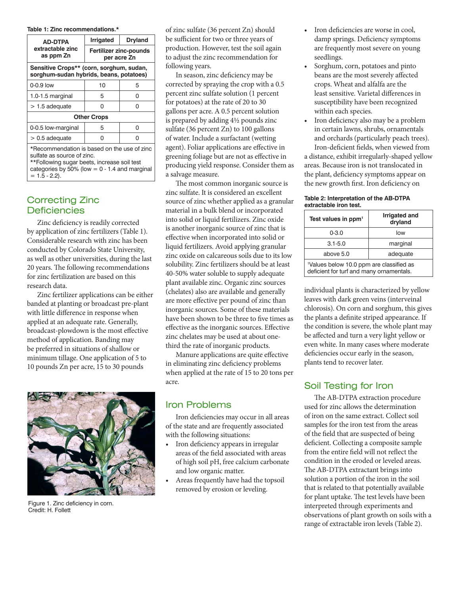#### **Table 1: Zinc recommendations.\***

| <b>AD-DTPA</b><br>extractable zinc<br>as ppm Zn                                     | <b>Irrigated</b>                             | <b>Dryland</b> |
|-------------------------------------------------------------------------------------|----------------------------------------------|----------------|
|                                                                                     | <b>Fertilizer zinc-pounds</b><br>per acre Zn |                |
| Sensitive Crops** (corn, sorghum, sudan,<br>sorghum-sudan hybrids, beans, potatoes) |                                              |                |
| $0-0.9$ low                                                                         | 10                                           | 5              |
| $1.0 - 1.5$ marginal                                                                | 5                                            | n              |
| $>$ 1.5 adequate                                                                    | n                                            | n              |
| <b>Other Crops</b>                                                                  |                                              |                |
| 0-0.5 low-marginal                                                                  | 5                                            | n              |
| $> 0.5$ adequate                                                                    | ი                                            |                |
| *Recommendation is based on the use of zinc                                         |                                              |                |

sulfate as source of zinc. \*\*Following sugar beets, increase soil test

categories by  $50\%$  (low = 0 - 1.4 and marginal  $= 1.5 - 2.2$ .

## Correcting Zinc **Deficiencies**

Zinc deficiency is readily corrected by application of zinc fertilizers (Table 1). Considerable research with zinc has been conducted by Colorado State University, as well as other universities, during the last 20 years. The following recommendations for zinc fertilization are based on this research data.

Zinc fertilizer applications can be either banded at planting or broadcast pre-plant with little difference in response when applied at an adequate rate. Generally, broadcast-plowdown is the most effective method of application. Banding may be preferred in situations of shallow or minimum tillage. One application of 5 to 10 pounds Zn per acre, 15 to 30 pounds



Figure 1. Zinc deficiency in corn. Credit: H. Follett

of zinc sulfate (36 percent Zn) should be sufficient for two or three years of production. However, test the soil again to adjust the zinc recommendation for following years.

In season, zinc deficiency may be corrected by spraying the crop with a 0.5 percent zinc sulfate solution (1 percent for potatoes) at the rate of 20 to 30 gallons per acre. A 0.5 percent solution is prepared by adding 4½ pounds zinc sulfate (36 percent Zn) to 100 gallons of water. Include a surfactant (wetting agent). Foliar applications are effective in greening foliage but are not as effective in producing yield response. Consider them as a salvage measure.

The most common inorganic source is zinc sulfate. It is considered an excellent source of zinc whether applied as a granular material in a bulk blend or incorporated into solid or liquid fertilizers. Zinc oxide is another inorganic source of zinc that is effective when incorporated into solid or liquid fertilizers. Avoid applying granular zinc oxide on calcareous soils due to its low solubility. Zinc fertilizers should be at least 40-50% water soluble to supply adequate plant available zinc. Organic zinc sources (chelates) also are available and generally are more effective per pound of zinc than inorganic sources. Some of these materials have been shown to be three to five times as effective as the inorganic sources. Effective zinc chelates may be used at about onethird the rate of inorganic products.

Manure applications are quite effective in eliminating zinc deficiency problems when applied at the rate of 15 to 20 tons per acre.

# Iron Problems

Iron deficiencies may occur in all areas of the state and are frequently associated with the following situations:

- Iron deficiency appears in irregular areas of the field associated with areas of high soil pH, free calcium carbonate and low organic matter.
- Areas frequently have had the topsoil removed by erosion or leveling.
- Iron deficiencies are worse in cool, damp springs. Deficiency symptoms are frequently most severe on young seedlings.
- • Sorghum, corn, potatoes and pinto beans are the most severely affected crops. Wheat and alfalfa are the least sensitive. Varietal differences in susceptibility have been recognized within each species.
- Iron deficiency also may be a problem in certain lawns, shrubs, ornamentals and orchards (particularly peach trees). Iron-deficient fields, when viewed from

a distance, exhibit irregularly-shaped yellow areas. Because iron is not translocated in the plant, deficiency symptoms appear on the new growth first. Iron deficiency on

#### **Table 2: Interpretation of the AB-DTPA extractable iron test.**

| Test values in ppm <sup>1</sup>                                                                  | <b>Irrigated and</b><br>dryland |  |
|--------------------------------------------------------------------------------------------------|---------------------------------|--|
| $0 - 3.0$                                                                                        | low                             |  |
| $3.1 - 5.0$                                                                                      | marginal                        |  |
| above 5.0                                                                                        | adequate                        |  |
| <sup>1</sup> Values below 10.0 ppm are classified as<br>deficient for turf and many ornamentals. |                                 |  |

individual plants is characterized by yellow leaves with dark green veins (interveinal chlorosis). On corn and sorghum, this gives the plants a definite striped appearance. If the condition is severe, the whole plant may be affected and turn a very light yellow or even white. In many cases where moderate deficiencies occur early in the season, plants tend to recover later.

# Soil Testing for Iron

The AB-DTPA extraction procedure used for zinc allows the determination of iron on the same extract. Collect soil samples for the iron test from the areas of the field that are suspected of being deficient. Collecting a composite sample from the entire field will not reflect the condition in the eroded or leveled areas. The AB-DTPA extractant brings into solution a portion of the iron in the soil that is related to that potentially available for plant uptake. The test levels have been interpreted through experiments and observations of plant growth on soils with a range of extractable iron levels (Table 2).